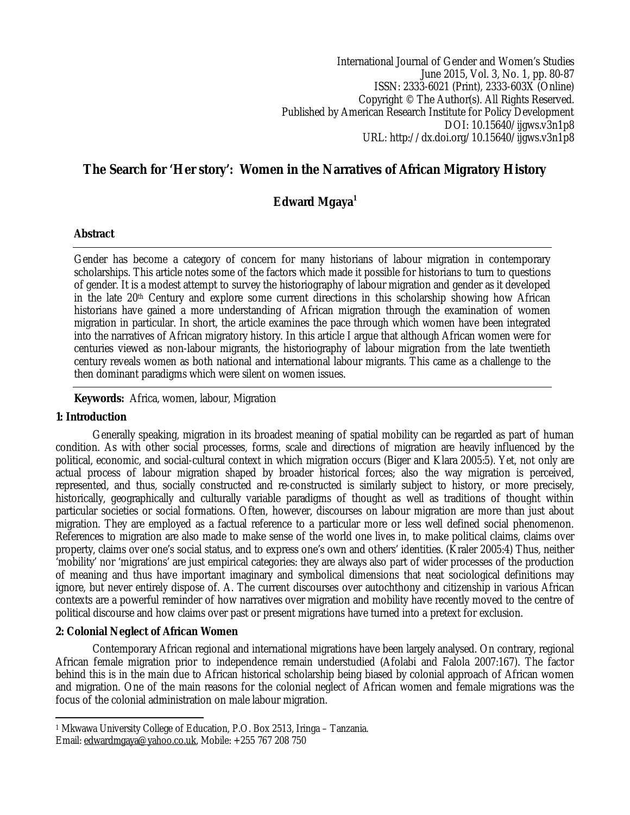International Journal of Gender and Women's Studies June 2015, Vol. 3, No. 1, pp. 80-87 ISSN: 2333-6021 (Print), 2333-603X (Online) Copyright © The Author(s). All Rights Reserved. Published by American Research Institute for Policy Development DOI: 10.15640/ijgws.v3n1p8 URL: http://dx.doi.org/10.15640/ijgws.v3n1p8

# **The Search for 'Her story': Women in the Narratives of African Migratory History**

## **Edward Mgaya<sup>1</sup>**

## **Abstract**

Gender has become a category of concern for many historians of labour migration in contemporary scholarships. This article notes some of the factors which made it possible for historians to turn to questions of gender. It is a modest attempt to survey the historiography of labour migration and gender as it developed in the late 20<sup>th</sup> Century and explore some current directions in this scholarship showing how African historians have gained a more understanding of African migration through the examination of women migration in particular. In short, the article examines the pace through which women have been integrated into the narratives of African migratory history. In this article I argue that although African women were for centuries viewed as non-labour migrants, the historiography of labour migration from the late twentieth century reveals women as both national and international labour migrants. This came as a challenge to the then dominant paradigms which were silent on women issues.

## **Keywords:** Africa, women, labour, Migration

#### **1: Introduction**

Generally speaking, migration in its broadest meaning of spatial mobility can be regarded as part of human condition. As with other social processes, forms, scale and directions of migration are heavily influenced by the political, economic, and social-cultural context in which migration occurs (Biger and Klara 2005:5). Yet, not only are actual process of labour migration shaped by broader historical forces; also the way migration is perceived, represented, and thus, socially constructed and re-constructed is similarly subject to history, or more precisely, historically, geographically and culturally variable paradigms of thought as well as traditions of thought within particular societies or social formations. Often, however, discourses on labour migration are more than just about migration. They are employed as a factual reference to a particular more or less well defined social phenomenon. References to migration are also made to make sense of the world one lives in, to make political claims, claims over property, claims over one's social status, and to express one's own and others' identities. (Kraler 2005:4) Thus, neither 'mobility' nor 'migrations' are just empirical categories: they are always also part of wider processes of the production of meaning and thus have important imaginary and symbolical dimensions that neat sociological definitions may ignore, but never entirely dispose of. A. The current discourses over autochthony and citizenship in various African contexts are a powerful reminder of how narratives over migration and mobility have recently moved to the centre of political discourse and how claims over past or present migrations have turned into a pretext for exclusion.

## **2: Colonial Neglect of African Women**

Contemporary African regional and international migrations have been largely analysed. On contrary, regional African female migration prior to independence remain understudied (Afolabi and Falola 2007:167). The factor behind this is in the main due to African historical scholarship being biased by colonial approach of African women and migration. One of the main reasons for the colonial neglect of African women and female migrations was the focus of the colonial administration on male labour migration.

 $\overline{a}$ <sup>1</sup> Mkwawa University College of Education, P.O. Box 2513, Iringa – Tanzania. Email: edwardmgaya@yahoo.co.uk, Mobile: +255 767 208 750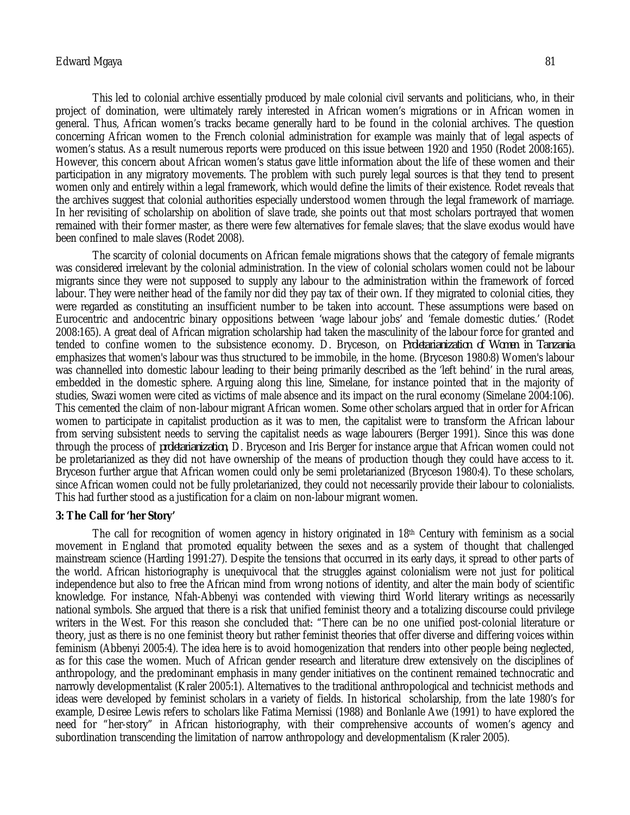#### Edward Mgaya 81

This led to colonial archive essentially produced by male colonial civil servants and politicians, who, in their project of domination, were ultimately rarely interested in African women's migrations or in African women in general. Thus, African women's tracks became generally hard to be found in the colonial archives. The question concerning African women to the French colonial administration for example was mainly that of legal aspects of women's status. As a result numerous reports were produced on this issue between 1920 and 1950 (Rodet 2008:165). However, this concern about African women's status gave little information about the life of these women and their participation in any migratory movements. The problem with such purely legal sources is that they tend to present women only and entirely within a legal framework, which would define the limits of their existence. Rodet reveals that the archives suggest that colonial authorities especially understood women through the legal framework of marriage. In her revisiting of scholarship on abolition of slave trade, she points out that most scholars portrayed that women remained with their former master, as there were few alternatives for female slaves; that the slave exodus would have been confined to male slaves (Rodet 2008).

The scarcity of colonial documents on African female migrations shows that the category of female migrants was considered irrelevant by the colonial administration. In the view of colonial scholars women could not be labour migrants since they were not supposed to supply any labour to the administration within the framework of forced labour. They were neither head of the family nor did they pay tax of their own. If they migrated to colonial cities, they were regarded as constituting an insufficient number to be taken into account. These assumptions were based on Eurocentric and andocentric binary oppositions between 'wage labour jobs' and 'female domestic duties.' (Rodet 2008:165). A great deal of African migration scholarship had taken the masculinity of the labour force for granted and tended to confine women to the subsistence economy. D. Bryceson, on *Proletarianization of Women in Tanzania* emphasizes that women's labour was thus structured to be immobile, in the home. (Bryceson 1980:8) Women's labour was channelled into domestic labour leading to their being primarily described as the 'left behind' in the rural areas, embedded in the domestic sphere. Arguing along this line, Simelane, for instance pointed that in the majority of studies, Swazi women were cited as victims of male absence and its impact on the rural economy (Simelane 2004:106). This cemented the claim of non-labour migrant African women. Some other scholars argued that in order for African women to participate in capitalist production as it was to men, the capitalist were to transform the African labour from serving subsistent needs to serving the capitalist needs as wage labourers (Berger 1991). Since this was done through the process of *proletarianization*, D. Bryceson and Iris Berger for instance argue that African women could not be proletarianized as they did not have ownership of the means of production though they could have access to it. Bryceson further argue that African women could only be semi proletarianized (Bryceson 1980:4). To these scholars, since African women could not be fully proletarianized, they could not necessarily provide their labour to colonialists. This had further stood as a justification for a claim on non-labour migrant women.

#### **3: The Call for 'her Story'**

The call for recognition of women agency in history originated in  $18<sup>th</sup>$  Century with feminism as a social movement in England that promoted equality between the sexes and as a system of thought that challenged mainstream science (Harding 1991:27). Despite the tensions that occurred in its early days, it spread to other parts of the world. African historiography is unequivocal that the struggles against colonialism were not just for political independence but also to free the African mind from wrong notions of identity, and alter the main body of scientific knowledge. For instance, Nfah-Abbenyi was contended with viewing third World literary writings as necessarily national symbols. She argued that there is a risk that unified feminist theory and a totalizing discourse could privilege writers in the West. For this reason she concluded that: "There can be no one unified post-colonial literature or theory, just as there is no one feminist theory but rather feminist theories that offer diverse and differing voices within feminism (Abbenyi 2005:4). The idea here is to avoid homogenization that renders into other people being neglected, as for this case the women. Much of African gender research and literature drew extensively on the disciplines of anthropology, and the predominant emphasis in many gender initiatives on the continent remained technocratic and narrowly developmentalist (Kraler 2005:1). Alternatives to the traditional anthropological and technicist methods and ideas were developed by feminist scholars in a variety of fields. In historical scholarship, from the late 1980's for example, Desiree Lewis refers to scholars like Fatima Mernissi (1988) and Bonlanle Awe (1991) to have explored the need for "her-story" in African historiography, with their comprehensive accounts of women's agency and subordination transcending the limitation of narrow anthropology and developmentalism (Kraler 2005).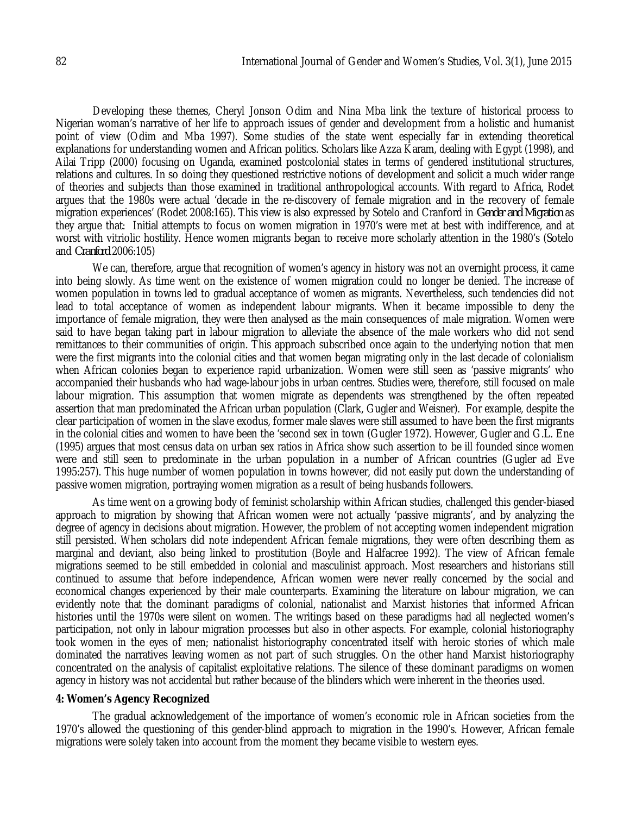Developing these themes, Cheryl Jonson Odim and Nina Mba link the texture of historical process to Nigerian woman's narrative of her life to approach issues of gender and development from a holistic and humanist point of view (Odim and Mba 1997). Some studies of the state went especially far in extending theoretical explanations for understanding women and African politics. Scholars like Azza Karam, dealing with Egypt (1998), and Ailai Tripp (2000) focusing on Uganda, examined postcolonial states in terms of gendered institutional structures, relations and cultures. In so doing they questioned restrictive notions of development and solicit a much wider range of theories and subjects than those examined in traditional anthropological accounts. With regard to Africa, Rodet argues that the 1980s were actual 'decade in the re-discovery of female migration and in the recovery of female migration experiences' (Rodet 2008:165). This view is also expressed by Sotelo and Cranford in *Gender and Migration* as they argue that: Initial attempts to focus on women migration in 1970's were met at best with indifference, and at worst with vitriolic hostility. Hence women migrants began to receive more scholarly attention in the 1980's (Sotelo and *Cranford* 2006:105)

We can, therefore, argue that recognition of women's agency in history was not an overnight process, it came into being slowly. As time went on the existence of women migration could no longer be denied. The increase of women population in towns led to gradual acceptance of women as migrants. Nevertheless, such tendencies did not lead to total acceptance of women as independent labour migrants. When it became impossible to deny the importance of female migration, they were then analysed as the main consequences of male migration. Women were said to have began taking part in labour migration to alleviate the absence of the male workers who did not send remittances to their communities of origin. This approach subscribed once again to the underlying notion that men were the first migrants into the colonial cities and that women began migrating only in the last decade of colonialism when African colonies began to experience rapid urbanization. Women were still seen as 'passive migrants' who accompanied their husbands who had wage-labour jobs in urban centres. Studies were, therefore, still focused on male labour migration. This assumption that women migrate as dependents was strengthened by the often repeated assertion that man predominated the African urban population (Clark, Gugler and Weisner). For example, despite the clear participation of women in the slave exodus, former male slaves were still assumed to have been the first migrants in the colonial cities and women to have been the 'second sex in town (Gugler 1972). However, Gugler and G.L. Ene (1995) argues that most census data on urban sex ratios in Africa show such assertion to be ill founded since women were and still seen to predominate in the urban population in a number of African countries (Gugler ad Eve 1995:257). This huge number of women population in towns however, did not easily put down the understanding of passive women migration, portraying women migration as a result of being husbands followers.

As time went on a growing body of feminist scholarship within African studies, challenged this gender-biased approach to migration by showing that African women were not actually 'passive migrants', and by analyzing the degree of agency in decisions about migration. However, the problem of not accepting women independent migration still persisted. When scholars did note independent African female migrations, they were often describing them as marginal and deviant, also being linked to prostitution (Boyle and Halfacree 1992). The view of African female migrations seemed to be still embedded in colonial and masculinist approach. Most researchers and historians still continued to assume that before independence, African women were never really concerned by the social and economical changes experienced by their male counterparts. Examining the literature on labour migration, we can evidently note that the dominant paradigms of colonial, nationalist and Marxist histories that informed African histories until the 1970s were silent on women. The writings based on these paradigms had all neglected women's participation, not only in labour migration processes but also in other aspects. For example, colonial historiography took women in the eyes of men; nationalist historiography concentrated itself with heroic stories of which male dominated the narratives leaving women as not part of such struggles. On the other hand Marxist historiography concentrated on the analysis of capitalist exploitative relations. The silence of these dominant paradigms on women agency in history was not accidental but rather because of the blinders which were inherent in the theories used.

#### **4: Women's Agency Recognized**

The gradual acknowledgement of the importance of women's economic role in African societies from the 1970's allowed the questioning of this gender-blind approach to migration in the 1990's. However, African female migrations were solely taken into account from the moment they became visible to western eyes.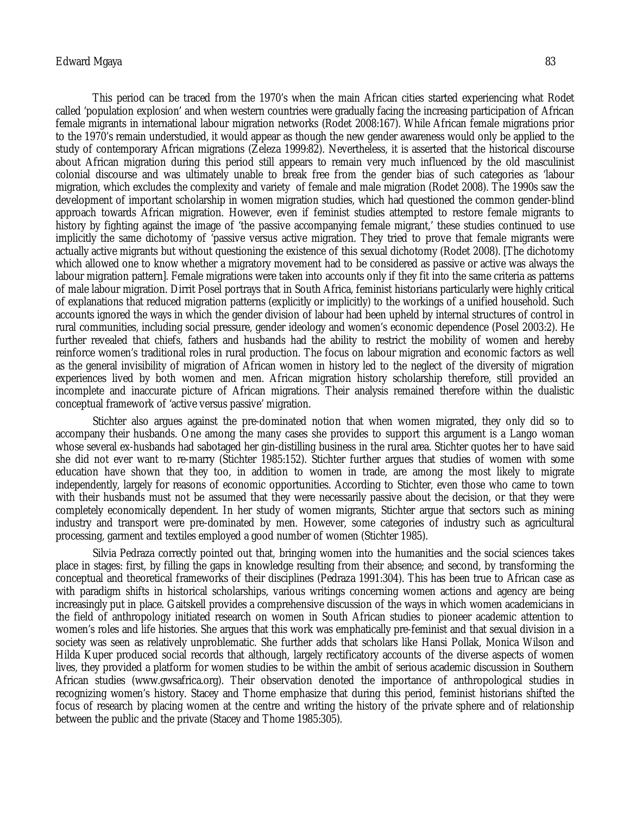#### Edward Mgaya 83

This period can be traced from the 1970's when the main African cities started experiencing what Rodet called 'population explosion' and when western countries were gradually facing the increasing participation of African female migrants in international labour migration networks (Rodet 2008:167). While African female migrations prior to the 1970's remain understudied, it would appear as though the new gender awareness would only be applied to the study of contemporary African migrations (Zeleza 1999:82). Nevertheless, it is asserted that the historical discourse about African migration during this period still appears to remain very much influenced by the old masculinist colonial discourse and was ultimately unable to break free from the gender bias of such categories as 'labour migration, which excludes the complexity and variety of female and male migration (Rodet 2008). The 1990s saw the development of important scholarship in women migration studies, which had questioned the common gender-blind approach towards African migration. However, even if feminist studies attempted to restore female migrants to history by fighting against the image of 'the passive accompanying female migrant,' these studies continued to use implicitly the same dichotomy of 'passive versus active migration. They tried to prove that female migrants were actually active migrants but without questioning the existence of this sexual dichotomy (Rodet 2008). [The dichotomy which allowed one to know whether a migratory movement had to be considered as passive or active was always the labour migration pattern]. Female migrations were taken into accounts only if they fit into the same criteria as patterns of male labour migration. Dirrit Posel portrays that in South Africa, feminist historians particularly were highly critical of explanations that reduced migration patterns (explicitly or implicitly) to the workings of a unified household. Such accounts ignored the ways in which the gender division of labour had been upheld by internal structures of control in rural communities, including social pressure, gender ideology and women's economic dependence (Posel 2003:2). He further revealed that chiefs, fathers and husbands had the ability to restrict the mobility of women and hereby reinforce women's traditional roles in rural production. The focus on labour migration and economic factors as well as the general invisibility of migration of African women in history led to the neglect of the diversity of migration experiences lived by both women and men. African migration history scholarship therefore, still provided an incomplete and inaccurate picture of African migrations. Their analysis remained therefore within the dualistic conceptual framework of 'active versus passive' migration.

Stichter also argues against the pre-dominated notion that when women migrated, they only did so to accompany their husbands. One among the many cases she provides to support this argument is a Lango woman whose several ex-husbands had sabotaged her gin-distilling business in the rural area. Stichter quotes her to have said she did not ever want to re-marry (Stichter 1985:152). Stichter further argues that studies of women with some education have shown that they too, in addition to women in trade, are among the most likely to migrate independently, largely for reasons of economic opportunities. According to Stichter, even those who came to town with their husbands must not be assumed that they were necessarily passive about the decision, or that they were completely economically dependent. In her study of women migrants, Stichter argue that sectors such as mining industry and transport were pre-dominated by men. However, some categories of industry such as agricultural processing, garment and textiles employed a good number of women (Stichter 1985).

Silvia Pedraza correctly pointed out that, bringing women into the humanities and the social sciences takes place in stages: first, by filling the gaps in knowledge resulting from their absence; and second, by transforming the conceptual and theoretical frameworks of their disciplines (Pedraza 1991:304). This has been true to African case as with paradigm shifts in historical scholarships, various writings concerning women actions and agency are being increasingly put in place. Gaitskell provides a comprehensive discussion of the ways in which women academicians in the field of anthropology initiated research on women in South African studies to pioneer academic attention to women's roles and life histories. She argues that this work was emphatically pre-feminist and that sexual division in a society was seen as relatively unproblematic. She further adds that scholars like Hansi Pollak, Monica Wilson and Hilda Kuper produced social records that although, largely rectificatory accounts of the diverse aspects of women lives, they provided a platform for women studies to be within the ambit of serious academic discussion in Southern African studies (www.gwsafrica.org). Their observation denoted the importance of anthropological studies in recognizing women's history. Stacey and Thorne emphasize that during this period, feminist historians shifted the focus of research by placing women at the centre and writing the history of the private sphere and of relationship between the public and the private (Stacey and Thome 1985:305).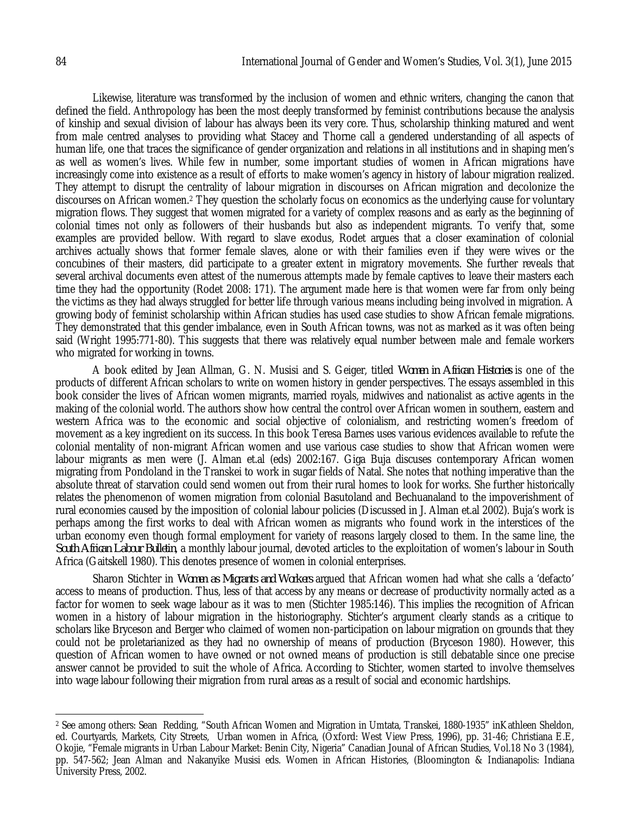Likewise, literature was transformed by the inclusion of women and ethnic writers, changing the canon that defined the field. Anthropology has been the most deeply transformed by feminist contributions because the analysis of kinship and sexual division of labour has always been its very core. Thus, scholarship thinking matured and went from male centred analyses to providing what Stacey and Thorne call a gendered understanding of all aspects of human life, one that traces the significance of gender organization and relations in all institutions and in shaping men's as well as women's lives. While few in number, some important studies of women in African migrations have increasingly come into existence as a result of efforts to make women's agency in history of labour migration realized. They attempt to disrupt the centrality of labour migration in discourses on African migration and decolonize the discourses on African women.<sup>2</sup> They question the scholarly focus on economics as the underlying cause for voluntary migration flows. They suggest that women migrated for a variety of complex reasons and as early as the beginning of colonial times not only as followers of their husbands but also as independent migrants. To verify that, some examples are provided bellow. With regard to slave exodus, Rodet argues that a closer examination of colonial archives actually shows that former female slaves, alone or with their families even if they were wives or the concubines of their masters, did participate to a greater extent in migratory movements. She further reveals that several archival documents even attest of the numerous attempts made by female captives to leave their masters each time they had the opportunity (Rodet 2008: 171). The argument made here is that women were far from only being the victims as they had always struggled for better life through various means including being involved in migration. A growing body of feminist scholarship within African studies has used case studies to show African female migrations. They demonstrated that this gender imbalance, even in South African towns, was not as marked as it was often being said (Wright 1995:771-80). This suggests that there was relatively equal number between male and female workers who migrated for working in towns.

A book edited by Jean Allman, G. N. Musisi and S. Geiger, titled *Women in African Histories* is one of the products of different African scholars to write on women history in gender perspectives. The essays assembled in this book consider the lives of African women migrants, married royals, midwives and nationalist as active agents in the making of the colonial world. The authors show how central the control over African women in southern, eastern and western Africa was to the economic and social objective of colonialism, and restricting women's freedom of movement as a key ingredient on its success. In this book Teresa Barnes uses various evidences available to refute the colonial mentality of non-migrant African women and use various case studies to show that African women were labour migrants as men were (J. Alman et.al (eds) 2002:167. Giga Buja discuses contemporary African women migrating from Pondoland in the Transkei to work in sugar fields of Natal. She notes that nothing imperative than the absolute threat of starvation could send women out from their rural homes to look for works. She further historically relates the phenomenon of women migration from colonial Basutoland and Bechuanaland to the impoverishment of rural economies caused by the imposition of colonial labour policies (Discussed in J. Alman et.al 2002). Buja's work is perhaps among the first works to deal with African women as migrants who found work in the interstices of the urban economy even though formal employment for variety of reasons largely closed to them. In the same line, the *South African Labour Bulletin*, a monthly labour journal, devoted articles to the exploitation of women's labour in South Africa (Gaitskell 1980). This denotes presence of women in colonial enterprises.

Sharon Stichter in *Women as Migrants and Workers* argued that African women had what she calls a 'defacto' access to means of production. Thus, less of that access by any means or decrease of productivity normally acted as a factor for women to seek wage labour as it was to men (Stichter 1985:146). This implies the recognition of African women in a history of labour migration in the historiography. Stichter's argument clearly stands as a critique to scholars like Bryceson and Berger who claimed of women non-participation on labour migration on grounds that they could not be proletarianized as they had no ownership of means of production (Bryceson 1980). However, this question of African women to have owned or not owned means of production is still debatable since one precise answer cannot be provided to suit the whole of Africa. According to Stichter, women started to involve themselves into wage labour following their migration from rural areas as a result of social and economic hardships.

 $\overline{a}$ 

<sup>2</sup> See among others: Sean Redding, "South African Women and Migration in Umtata, Transkei, 1880-1935" inKathleen Sheldon, ed. Courtyards, Markets, City Streets, Urban women in Africa, (Oxford: West View Press, 1996), pp. 31-46; Christiana E.E, Okojie, "Female migrants in Urban Labour Market: Benin City, Nigeria" Canadian Jounal of African Studies, Vol.18 No 3 (1984), pp. 547-562; Jean Alman and Nakanyike Musisi eds. Women in African Histories, (Bloomington & Indianapolis: Indiana University Press, 2002.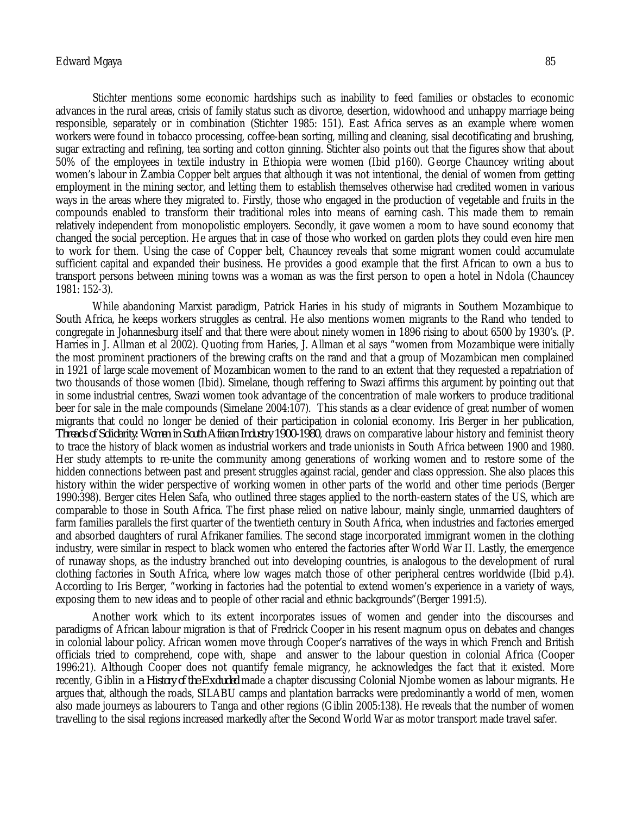#### Edward Mgaya 85

Stichter mentions some economic hardships such as inability to feed families or obstacles to economic advances in the rural areas, crisis of family status such as divorce, desertion, widowhood and unhappy marriage being responsible, separately or in combination (Stichter 1985: 151). East Africa serves as an example where women workers were found in tobacco processing, coffee-bean sorting, milling and cleaning, sisal decotificating and brushing, sugar extracting and refining, tea sorting and cotton ginning. Stichter also points out that the figures show that about 50% of the employees in textile industry in Ethiopia were women (Ibid p160). George Chauncey writing about women's labour in Zambia Copper belt argues that although it was not intentional, the denial of women from getting employment in the mining sector, and letting them to establish themselves otherwise had credited women in various ways in the areas where they migrated to. Firstly, those who engaged in the production of vegetable and fruits in the compounds enabled to transform their traditional roles into means of earning cash. This made them to remain relatively independent from monopolistic employers. Secondly, it gave women a room to have sound economy that changed the social perception. He argues that in case of those who worked on garden plots they could even hire men to work for them. Using the case of Copper belt, Chauncey reveals that some migrant women could accumulate sufficient capital and expanded their business. He provides a good example that the first African to own a bus to transport persons between mining towns was a woman as was the first person to open a hotel in Ndola (Chauncey 1981: 152-3).

While abandoning Marxist paradigm, Patrick Haries in his study of migrants in Southern Mozambique to South Africa, he keeps workers struggles as central. He also mentions women migrants to the Rand who tended to congregate in Johannesburg itself and that there were about ninety women in 1896 rising to about 6500 by 1930's. (P. Harries in J. Allman et al 2002). Quoting from Haries, J. Allman et al says "women from Mozambique were initially the most prominent practioners of the brewing crafts on the rand and that a group of Mozambican men complained in 1921 of large scale movement of Mozambican women to the rand to an extent that they requested a repatriation of two thousands of those women (Ibid). Simelane, though reffering to Swazi affirms this argument by pointing out that in some industrial centres, Swazi women took advantage of the concentration of male workers to produce traditional beer for sale in the male compounds (Simelane 2004:107). This stands as a clear evidence of great number of women migrants that could no longer be denied of their participation in colonial economy. Iris Berger in her publication, *Threads of Solidarity: Women in South African Industry 1900-1980*, draws on comparative labour history and feminist theory to trace the history of black women as industrial workers and trade unionists in South Africa between 1900 and 1980. Her study attempts to re-unite the community among generations of working women and to restore some of the hidden connections between past and present struggles against racial, gender and class oppression. She also places this history within the wider perspective of working women in other parts of the world and other time periods (Berger 1990:398). Berger cites Helen Safa, who outlined three stages applied to the north-eastern states of the US, which are comparable to those in South Africa. The first phase relied on native labour, mainly single, unmarried daughters of farm families parallels the first quarter of the twentieth century in South Africa, when industries and factories emerged and absorbed daughters of rural Afrikaner families. The second stage incorporated immigrant women in the clothing industry, were similar in respect to black women who entered the factories after World War II. Lastly, the emergence of runaway shops, as the industry branched out into developing countries, is analogous to the development of rural clothing factories in South Africa, where low wages match those of other peripheral centres worldwide (Ibid p.4). According to Iris Berger, "working in factories had the potential to extend women's experience in a variety of ways, exposing them to new ideas and to people of other racial and ethnic backgrounds"(Berger 1991:5).

Another work which to its extent incorporates issues of women and gender into the discourses and paradigms of African labour migration is that of Fredrick Cooper in his resent magnum opus on debates and changes in colonial labour policy. African women move through Cooper's narratives of the ways in which French and British officials tried to comprehend, cope with, shape and answer to the labour question in colonial Africa (Cooper 1996:21). Although Cooper does not quantify female migrancy, he acknowledges the fact that it existed. More recently, Giblin in *a History of the Excluded* made a chapter discussing Colonial Njombe women as labour migrants. He argues that, although the roads, SILABU camps and plantation barracks were predominantly a world of men, women also made journeys as labourers to Tanga and other regions (Giblin 2005:138). He reveals that the number of women travelling to the sisal regions increased markedly after the Second World War as motor transport made travel safer.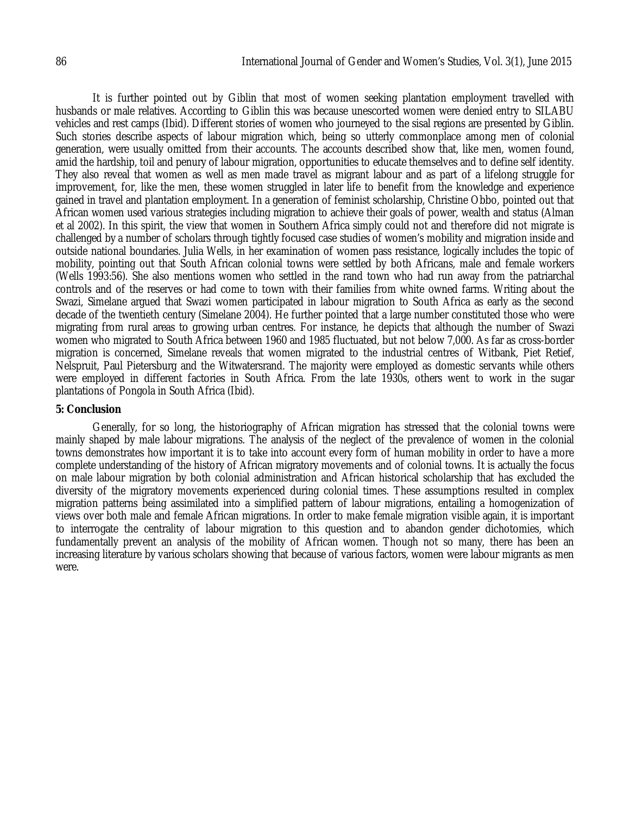It is further pointed out by Giblin that most of women seeking plantation employment travelled with husbands or male relatives. According to Giblin this was because unescorted women were denied entry to SILABU vehicles and rest camps (Ibid). Different stories of women who journeyed to the sisal regions are presented by Giblin. Such stories describe aspects of labour migration which, being so utterly commonplace among men of colonial generation, were usually omitted from their accounts. The accounts described show that, like men, women found, amid the hardship, toil and penury of labour migration, opportunities to educate themselves and to define self identity. They also reveal that women as well as men made travel as migrant labour and as part of a lifelong struggle for improvement, for, like the men, these women struggled in later life to benefit from the knowledge and experience gained in travel and plantation employment. In a generation of feminist scholarship, Christine Obbo, pointed out that African women used various strategies including migration to achieve their goals of power, wealth and status (Alman et al 2002). In this spirit, the view that women in Southern Africa simply could not and therefore did not migrate is challenged by a number of scholars through tightly focused case studies of women's mobility and migration inside and outside national boundaries. Julia Wells, in her examination of women pass resistance, logically includes the topic of mobility, pointing out that South African colonial towns were settled by both Africans, male and female workers (Wells 1993:56). She also mentions women who settled in the rand town who had run away from the patriarchal controls and of the reserves or had come to town with their families from white owned farms. Writing about the Swazi, Simelane argued that Swazi women participated in labour migration to South Africa as early as the second decade of the twentieth century (Simelane 2004). He further pointed that a large number constituted those who were migrating from rural areas to growing urban centres. For instance, he depicts that although the number of Swazi women who migrated to South Africa between 1960 and 1985 fluctuated, but not below 7,000. As far as cross-border migration is concerned, Simelane reveals that women migrated to the industrial centres of Witbank, Piet Retief, Nelspruit, Paul Pietersburg and the Witwatersrand. The majority were employed as domestic servants while others were employed in different factories in South Africa. From the late 1930s, others went to work in the sugar plantations of Pongola in South Africa (Ibid).

#### **5: Conclusion**

Generally, for so long, the historiography of African migration has stressed that the colonial towns were mainly shaped by male labour migrations. The analysis of the neglect of the prevalence of women in the colonial towns demonstrates how important it is to take into account every form of human mobility in order to have a more complete understanding of the history of African migratory movements and of colonial towns. It is actually the focus on male labour migration by both colonial administration and African historical scholarship that has excluded the diversity of the migratory movements experienced during colonial times. These assumptions resulted in complex migration patterns being assimilated into a simplified pattern of labour migrations, entailing a homogenization of views over both male and female African migrations. In order to make female migration visible again, it is important to interrogate the centrality of labour migration to this question and to abandon gender dichotomies, which fundamentally prevent an analysis of the mobility of African women. Though not so many, there has been an increasing literature by various scholars showing that because of various factors, women were labour migrants as men were.